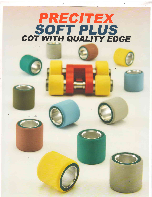# PRECTTEX SOFT PLUS